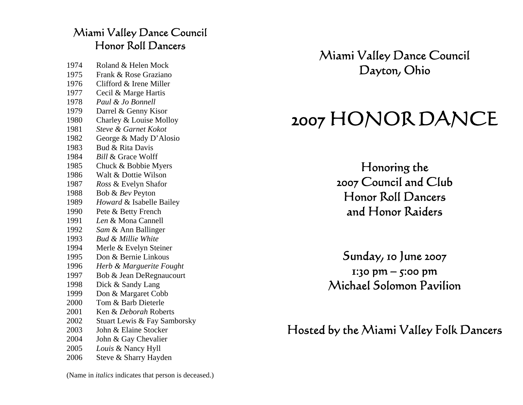## Miami Valley Dance Council Honor Roll Dancers

1974 Roland & Helen Mock 1975 Frank & Rose Graziano 1976 Clifford & Irene Miller 1977 Cecil & Marge Hartis 1978 *Paul & Jo Bonnell* 1979 Darrel & Genny Kisor 1980 Charley & Louise Molloy 1981 *Steve & Garnet Kokot* 1982 George & Mady D'Alosio 1983 Bud & Rita Davis 1984 *Bill* & Grace Wolff 1985 Chuck & Bobbie Myers 1986 Walt & Dottie Wilson 1987 *Ross* & Evelyn Shafor 1988 Bob & *Bev* Peyton 1989 *Howard* & Isabelle Bailey 1990 Pete & Betty French 1991 *Len* & Mona Cannell 1992 *Sam* & Ann Ballinger 1993 *Bud & Millie White* 1994 Merle & Evelyn Steiner 1995 Don & Bernie Linkous 1996 *Herb & Marguerite Fought* 1997 Bob & Jean DeRegnaucourt 1998 Dick & Sandy Lang 1999 Don & Margaret Cobb 2000 Tom & Barb Dieterle 2001 Ken & *Deborah* Roberts 2002 Stuart Lewis & Fay Samborsky 2003 John & Elaine Stocker 2004 John & Gay Chevalier 2005 *Louis* & Nancy Hyll 2006Steve & Sharry Hayden

Miami Valley Dance Council Dayton, Ohio

# 2007 HONOR DANCE

Honoring the 2007 Council and Club Honor Roll Dancers and Honor Raiders

Sunday, 10 June 2007  $1:30 \text{ pm} - 5:00 \text{ pm}$ Michael Solomon Pavilion

Hosted by the Miami Valley Folk Dancers

(Name in *italics* indicates that person is deceased.)